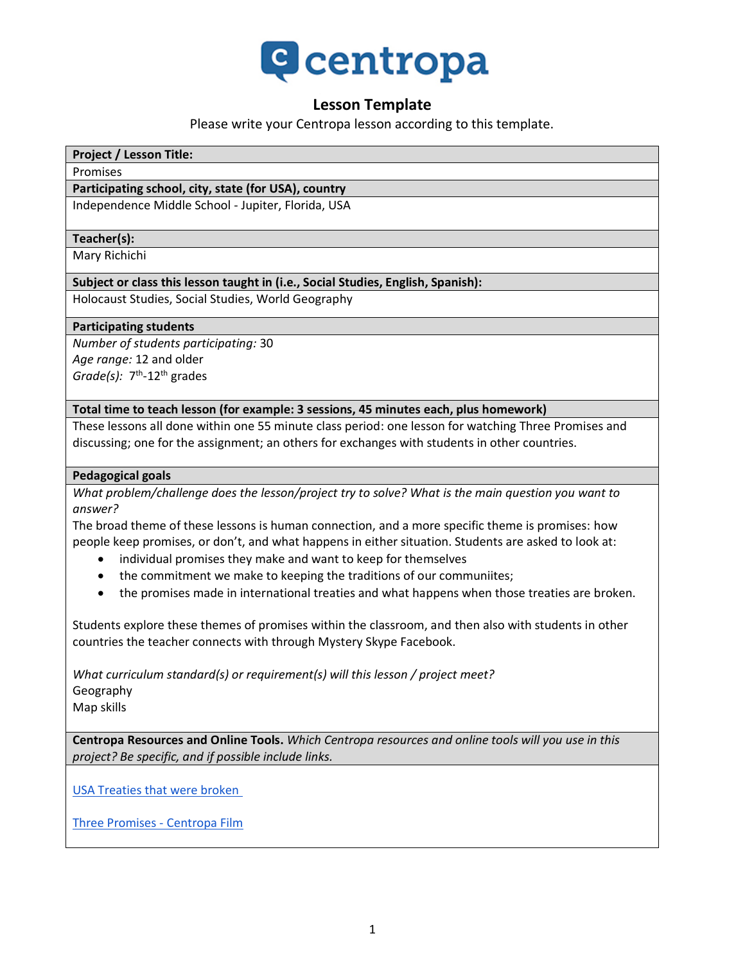

## **Lesson Template**

Please write your Centropa lesson according to this template.

#### **Project / Lesson Title:**

#### Promises

#### **Participating school, city, state (for USA), country**

Independence Middle School - Jupiter, Florida, USA

#### **Teacher(s):**

Mary Richichi

#### **Subject or class this lesson taught in (i.e., Social Studies, English, Spanish):**

Holocaust Studies, Social Studies, World Geography

#### **Participating students**

*Number of students participating:* 30 *Age range:* 12 and older Grade(s): 7<sup>th</sup>-12<sup>th</sup> grades

#### **Total time to teach lesson (for example: 3 sessions, 45 minutes each, plus homework)**

These lessons all done within one 55 minute class period: one lesson for watching Three Promises and discussing; one for the assignment; an others for exchanges with students in other countries.

#### **Pedagogical goals**

*What problem/challenge does the lesson/project try to solve? What is the main question you want to answer?*

The broad theme of these lessons is human connection, and a more specific theme is promises: how people keep promises, or don't, and what happens in either situation. Students are asked to look at:

- individual promises they make and want to keep for themselves
- the commitment we make to keeping the traditions of our communiites;
- the promises made in international treaties and what happens when those treaties are broken.

Students explore these themes of promises within the classroom, and then also with students in other countries the teacher connects with through Mystery Skype Facebook.

*What curriculum standard(s) or requirement(s) will this lesson / project meet?* Geography Map skills

**Centropa Resources and Online Tools.** *Which Centropa resources and online tools will you use in this project? Be specific, and if possible include links.*

[USA Treaties that were broken](https://qz.com/1273510/all-the-international-agreements-the-us-has-broken-before-the-iran-deal/)

[Three Promises -](https://www.youtube.com/watch?v=vnoJrWwngaA&feature=emb_logo) Centropa Film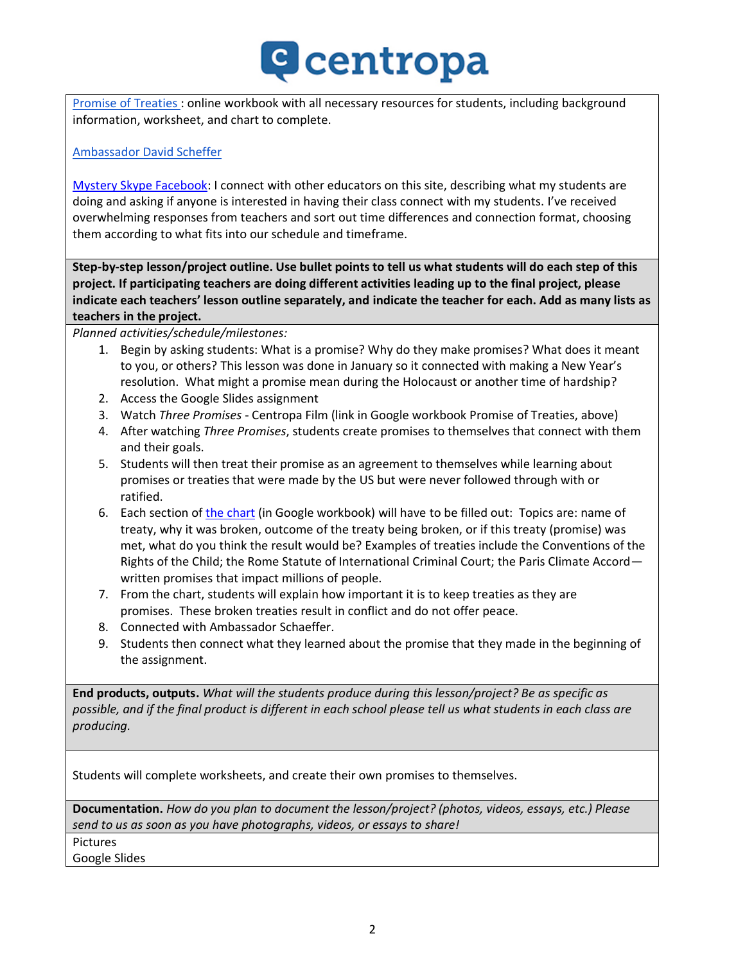# **C** centropa

[Promise of Treaties](https://docs.google.com/presentation/d/e/2PACX-1vSS9ibzS5lXK_BFW6EFIuiMktKuitYv1Bg3TLa9FYZEkjHHPP1qCGoNr2rgd5-JJBK9eUH9iUVxu_dC/pub?start=false&loop=false&delayms=3000) : online workbook with all necessary resources for students, including background information, worksheet, and chart to complete.

### [Ambassador David Scheffer](https://www.cfr.org/conference-calls/international-court-justices-recent-ruling-rohingya-genocide)

[Mystery Skype Facebook:](https://www.facebook.com/groups/333792373465203/) I connect with other educators on this site, describing what my students are doing and asking if anyone is interested in having their class connect with my students. I've received overwhelming responses from teachers and sort out time differences and connection format, choosing them according to what fits into our schedule and timeframe.

**Step-by-step lesson/project outline. Use bullet points to tell us what students will do each step of this project. If participating teachers are doing different activities leading up to the final project, please indicate each teachers' lesson outline separately, and indicate the teacher for each. Add as many lists as teachers in the project.**

*Planned activities/schedule/milestones:*

- 1. Begin by asking students: What is a promise? Why do they make promises? What does it meant to you, or others? This lesson was done in January so it connected with making a New Year's resolution. What might a promise mean during the Holocaust or another time of hardship?
- 2. Access the Google Slides assignment
- 3. Watch *Three Promises* Centropa Film (link in Google workbook Promise of Treaties, above)
- 4. After watching *Three Promises*, students create promises to themselves that connect with them and their goals.
- 5. Students will then treat their promise as an agreement to themselves while learning about promises or treaties that were made by the US but were never followed through with or ratified.
- 6. Each section o[f the chart](https://docs.google.com/presentation/d/e/2PACX-1vSS9ibzS5lXK_BFW6EFIuiMktKuitYv1Bg3TLa9FYZEkjHHPP1qCGoNr2rgd5-JJBK9eUH9iUVxu_dC/pub?start=false&loop=false&delayms=3000&slide=id.gca5a23e94f_0_0) (in Google workbook) will have to be filled out: Topics are: name of treaty, why it was broken, outcome of the treaty being broken, or if this treaty (promise) was met, what do you think the result would be? Examples of treaties include the Conventions of the Rights of the Child; the Rome Statute of International Criminal Court; the Paris Climate Accord written promises that impact millions of people.
- 7. From the chart, students will explain how important it is to keep treaties as they are promises. These broken treaties result in conflict and do not offer peace.
- 8. Connected with Ambassador Schaeffer.
- 9. Students then connect what they learned about the promise that they made in the beginning of the assignment.

**End products, outputs.** *What will the students produce during this lesson/project? Be as specific as possible, and if the final product is different in each school please tell us what students in each class are producing.*

Students will complete worksheets, and create their own promises to themselves.

**Documentation.** *How do you plan to document the lesson/project? (photos, videos, essays, etc.) Please send to us as soon as you have photographs, videos, or essays to share!*

Pictures

Google Slides